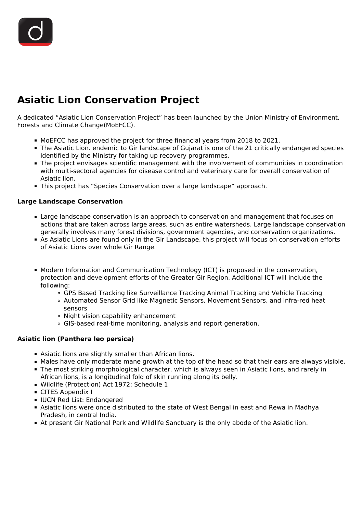## **Asiatic Lion Conservation Project**

A dedicated "Asiatic Lion Conservation Project" has been launched by the Union Ministry of Environment, Forests and Climate Change(MoEFCC).

- MoEFCC has approved the project for three financial years from 2018 to 2021.
- The Asiatic Lion. endemic to Gir landscape of Gujarat is one of the 21 critically endangered species identified by the Ministry for taking up recovery programmes.
- The project envisages scientific management with the involvement of communities in coordination with multi-sectoral agencies for disease control and veterinary care for overall conservation of Asiatic lion.
- This project has "Species Conservation over a large landscape" approach.

## **Large Landscape Conservation**

- **Example 2** Large landscape conservation is an approach to conservation and management that focuses on actions that are taken across large areas, such as entire watersheds. Large landscape conservation generally involves many forest divisions, government agencies, and conservation organizations.
- As Asiatic Lions are found only in the Gir Landscape, this project will focus on conservation efforts of Asiatic Lions over whole Gir Range.
- **Modern Information and Communication Technology (ICT) is proposed in the conservation,** protection and development efforts of the Greater Gir Region. Additional ICT will include the following:
	- GPS Based Tracking like Surveillance Tracking Animal Tracking and Vehicle Tracking
	- Automated Sensor Grid like Magnetic Sensors, Movement Sensors, and Infra-red heat sensors
	- Night vision capability enhancement
	- GIS-based real-time monitoring, analysis and report generation.

## **Asiatic lion (Panthera leo persica)**

- Asiatic lions are slightly smaller than African lions.
- Males have only moderate mane growth at the top of the head so that their ears are always visible.
- The most striking morphological character, which is always seen in Asiatic lions, and rarely in African lions, is a longitudinal fold of skin running along its belly.
- Wildlife (Protection) Act 1972: Schedule 1
- CITES Appendix I
- IUCN Red List: Endangered
- Asiatic lions were once distributed to the state of West Bengal in east and Rewa in Madhya Pradesh, in central India.
- At present Gir National Park and Wildlife Sanctuary is the only abode of the Asiatic lion.